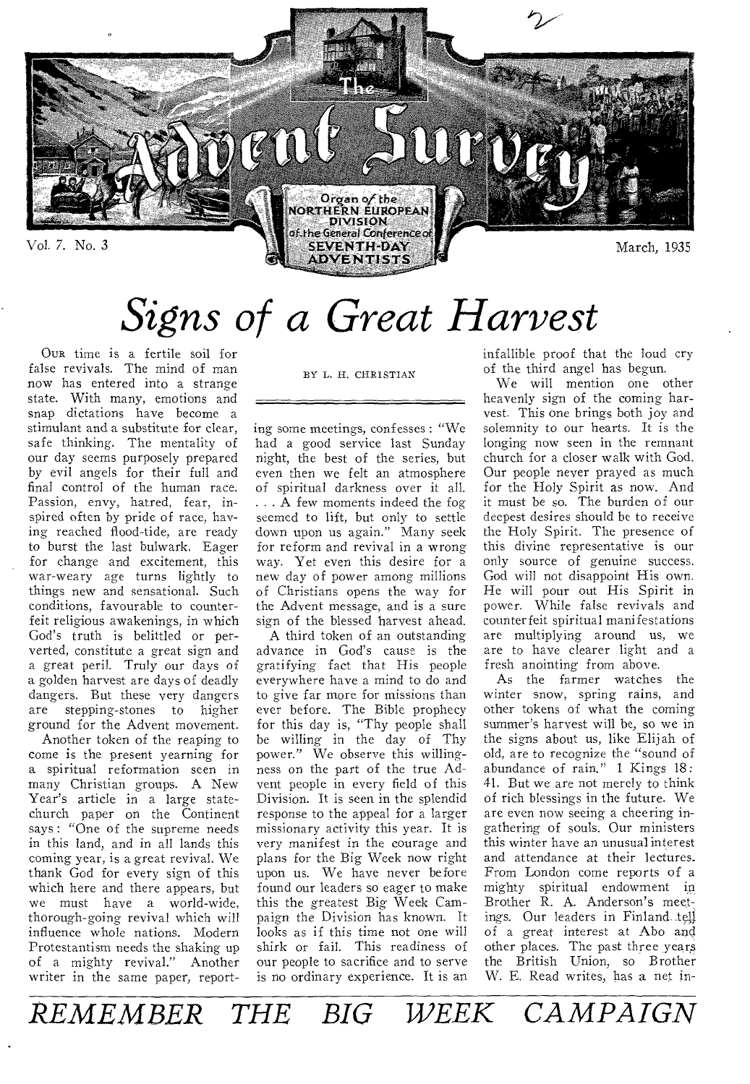

# *Signs of a Great Harvest*

OUR time is a fertile soil for false revivals. The mind of man now has entered into a strange state. With many, emotions and snap dictations have become a stimulant and a substitute for clear, safe thinking. The mentality of our day seems purposely prepared by evil angels for their full and final control of the human race. Passion, envy, hatred, fear, inspired often by pride of race, having reached flood-tide, are ready to burst the last bulwark. Eager for change and excitement, this war-weary age turns lightly to things new and sensational. Such conditions, favourable to counterfeit religious awakenings, in which God's truth is belittled or perverted, constitute a great sign and a great peril. Truly our days of a golden harvest are days of deadly dangers. But these very dangers<br>are stepping-stones to higher stepping-stones to higher ground for the Advent movement.

Another token of the reaping to come is the present yearning for a spiritual reformation seen in many Christian groups. A New Year's article in a large statechurch paper on the Continent says : "One of the supreme needs in this land, and in all lands this coming year, is a great revival. We thank God for every sign of this which here and there appears, but we must have a world-wide, thorough-going revival which will influence whole nations. Modern Protestantism needs the shaking up of a mighty revival." Another writer in the same paper, reportBY L. H. CHRISTIAN

ing some meetings, confesses : "We had a good service last Sunday night, the best of the series, but even then we felt an atmosphere of spiritual darkness over it all. . . A few moments indeed the fog seemed to lift, but only to settle down upon us again." Many seek for reform and revival in a wrong way. Yet even this desire for a new day of power among millions of Christians opens the way for the Advent message, and is a sure sign of the blessed harvest ahead.

A third token of an outstanding advance in God's cause is the gratifying fact that His people everywhere have a mind to do and to give far more for missions than ever before. The Bible prophecy for this day is, "Thy people shall be willing in the day of Thy power." We observe this willingness on the part of the true Advent people in every field of this Division. It is seen in the splendid response to the appeal for a larger missionary activity this year. It is very manifest in the courage and plans for the Big Week now right upon us. We have never before found our leaders so eager to make this the greatest Big Week Campaign the Division has known. It looks as if this time not one will shirk or fail. This readiness of our people to sacrifice and to serve is no ordinary experience. It is an

infallible proof that the loud cry of the third angel has begun.

We will mention one other heavenly sign of the coming harvest. This one brings both joy and solemnity to our hearts. It is the longing now seen in the remnant church for a closer walk with God. Our people never prayed as much for the Holy Spirit as now. And it must be so. The burden of our deepest desires should be to receive the Holy Spirit. The presence of this divine representative is our only source of genuine success. God will not disappoint His own. He will pour out His Spirit in power. While false revivals and counterfeit spiritual manifestations are multiplying around us, we are to have clearer light and a fresh anointing from above.

As the farmer watches the winter snow, spring rains, and other tokens of what the coming summer's harvest will be, so we in the signs about us, like Elijah of old, are to recognize the "sound of abundance of rain." 1 Kings 18: 41. But we are not merely to think of rich blessings in the future. We are even now seeing a cheering ingathering of souls. Our ministers this winter have an unusual interest and attendance at their lectures. From London come reports of a mighty spiritual endowment in Brother R. A. Anderson's meetings. Our leaders in Finland tell of a great interest at Abo and other places. The past three years the British Union, so Brother W. E. Read writes, has a net in-

*REMEMBER THE BIG WEEK CAMPAIGN*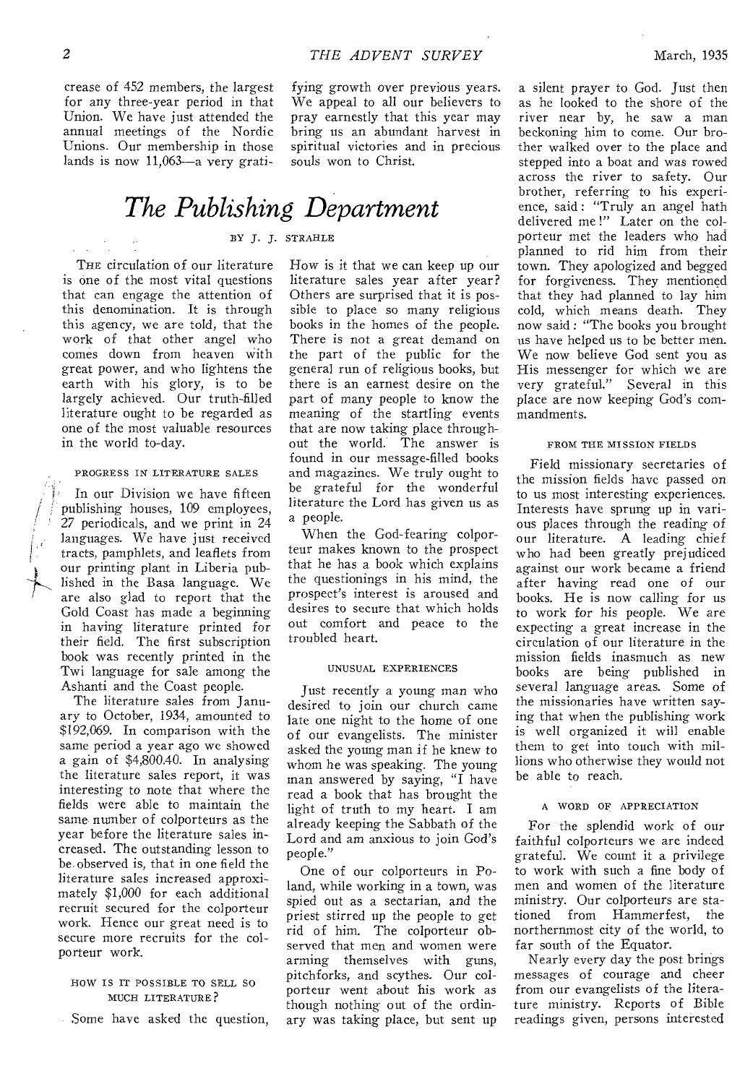crease of 452 members, the largest for any three-year period in that Union. We have just attended the annual meetings of the Nordic Unions. Our membership in those lands is now 11,063—a very gratifying growth over previous years. We appeal to all our believers to pray earnestly that this year may bring us an abundant harvest in spiritual victories and in precious souls won to Christ.

# *The Publishing Department*

### BY J. J. STRAHLE

THE circulation of our literature is one of the most vital questions that can engage the attention of this denomination. It is through this agency, we are told, that the work of that other angel who comes down from heaven with great power, and who lightens the earth with his glory, is to be largely achieved. Our truth-filled literature ought to be regarded as one of the most valuable resources in the world to-day.

#### PROGRESS IN LITERATURE SALES

In our Division we have fifteen publishing houses, 109 employees, 27 periodicals, and we print in 24 languages. We have just received tracts, pamphlets, and leaflets from our printing plant in Liberia published in the Basa language. We are also glad to report that the Gold Coast has made a beginning in having literature printed for their field. The first subscription book was recently printed in the Twi language for sale among the Ashanti and the Coast people.

The literature sales from January to October, 1934, amounted to \$192,069. In comparison with the same period a year ago we showed a gain of \$4,800.40. In analysing the literature sales report, it was interesting to note that where the fields were able to maintain the same, number of colporteurs as the year before the literature sales increased. The outstanding lesson to be observed is, that in one field the literature sales increased approximately \$1,000 for each additional recruit secured for the colporteur work. Hence our great need is to secure more recruits for the colporteur work.

### HOW IS IT POSSIBLE TO SELL SO MUCH LITERATURE?

Some have asked the question,

How is it that we can keep up our literature sales year after year? Others are surprised that it is possible to place so many religious books in the homes of the people. There is not a great demand on the part of the public for the general run of religious books, but there is an earnest desire on the part of many people to know the meaning of the startling events that are now taking place throughout the world. The answer is found in our message-filled books and magazines. We truly ought to be grateful for the wonderful literature the Lord has given us as a people.

When the God-fearing colporteur makes known to the prospect that he has a book which explains the questionings in his mind, the prospect's interest is aroused and desires to secure that which holds out comfort and peace to the troubled heart.

#### UNUSUAL EXPERIENCES

Just recently a young man who desired to join our church came late one night to the home of one of our evangelists. The minister asked the young man if he knew to whom he was speaking. The young man answered by saying, "I have read a book that has brought the light of truth to my heart. I am already keeping the Sabbath of the Lord and am anxious to join God's people."

One of our colporteurs in Poland, while working in a town, was spied out as a sectarian, and the priest stirred up the people to get rid of him. The colporteur observed that men and women were arming themselves with guns, pitchforks, and scythes. Our colporteur went about his work as though nothing out of the ordinary was taking place, but sent up

a silent prayer to God. Just then as he looked to the shore of the river near by, he saw a man beckoning him to come. Our brother walked over to the place and stepped into a boat and was rowed across the river to safety. Our brother, referring to his experience, said : "Truly an angel hath delivered me !" Later on the colporteur met the leaders who had planned to rid him from their town. They apologized and begged for forgiveness. They mentioned that they had planned to lay him cold, which means death. They now said : "The books you brought us have helped us to be better men. We now believe God sent you as His messenger for which we are very grateful." Several in this place are now keeping God's commandments.

#### FROM THE MISSION FIELDS

Field missionary secretaries of the mission fields have passed on to us most interesting experiences. Interests have sprung up in various places through the reading of our literature. A leading chief who had been greatly prejudiced against our work became a friend after having read one of our books. He is now calling for us to work for his people. We are expecting a great increase in the circulation of our literature in the mission fields inasmuch as new books are being published in several language areas. Some of the missionaries have written saying that when the publishing work is well organized it will enable them to get into touch with millions who otherwise they would not be able to reach.

### A WORD OF APPRECIATION

For the splendid work of our faithful colporteurs we are indeed grateful. We count it a privilege to work with such a fine body of men and women of the literature ministry. Our colporteurs are stationed from Hammerfest, the northernmost city of the world, to far south of the Equator.

Nearly every day the post brings messages of courage and cheer from our evangelists of the literature ministry. Reports of Bible readings given, persons interested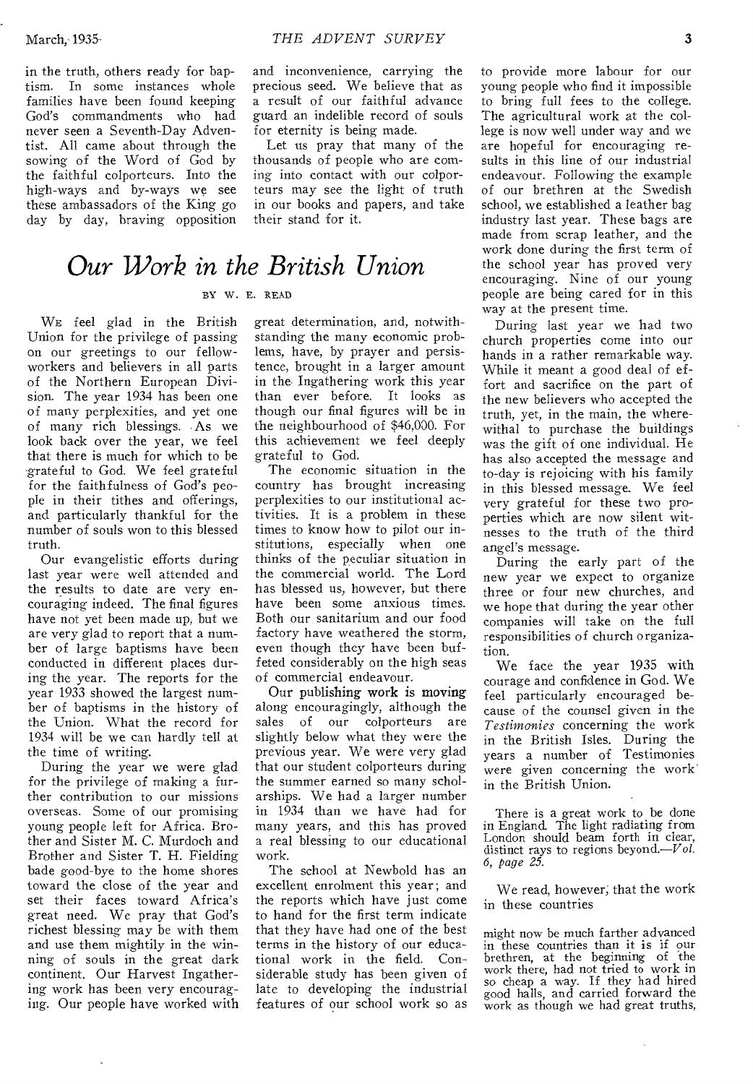in the truth, others ready for baptism. In some instances whole families have been found keeping God's commandments who had never seen a Seventh-Day Adventist. All came about through the sowing of the Word of God by the faithful colporteurs. Into the high-ways and by-ways we see these ambassadors of the King go day by day, braving opposition

and inconvenience, carrying the precious seed. We believe that as a result of our faithful advance guard an indelible record of souls for eternity is being made.

Let us pray that many of the thousands of people who are coming into contact with our colporteurs may see the light of truth in our books and papers, and take their stand for it.

### *Our Work in the British Union*

### BY W. E. READ

WE feel glad in the British Union for the privilege of passing on our greetings to our fellowworkers and believers in all parts of the Northern European Division. The year 1934 has been one of many perplexities, and yet one of many rich blessings. -As we look back over the year, we feel that there is much for which to be grateful to God. We feel grateful for the faithfulness of God's people in their tithes and offerings, and particularly thankful for the number of souls won to this blessed truth.

Our evangelistic efforts during last year were well attended and the results to date are very encouraging indeed. The final figures have not yet been made up, but we are very glad to report that a number of large baptisms have been conducted in different places during the year. The reports for the year 1933 showed the largest number of baptisms in the history of the Union. What the record for 1934 will be we can hardly tell at the time of writing.

During the year we were glad for the privilege of making a further contribution to our missions overseas. Some of our promising young people left for Africa. Brother and Sister M. C. Murdoch and Brother and Sister T. H. Fielding bade good-bye to the home shores toward the close of the year and set their faces toward Africa's great need. We pray that God's richest blessing may be with them and use them mightily in the winning of souls in the great dark continent. Our Harvest Ingathering work has been very encouraging. Our people have worked with

great determination, and, notwithstanding the many economic problems, have, by prayer and persistence, brought in a larger amount in the- Ingathering work this year than ever before. It looks as though our final figures will be in the neighbourhood of \$46,000. For this achievement we feel deeply grateful to God.

The economic situation in the country has brought increasing perplexities to our institutional activities. It is a problem in these times to know how to pilot our institutions, especially when one thinks of the peculiar situation in the commercial world. The Lord has blessed us, however, but there have been some anxious times. Both our sanitarium and our food factory have weathered the storm, even though they have been buffeted considerably on the high seas of commercial endeavour.

Our publishing work is moving along encouragingly, although the sales of our colporteurs are slightly below what they were the previous year. We were very glad that our student colporteurs during the summer earned so many scholarships. We had a larger number in 1934 than we have had for many years, and this has proved a real blessing to our educational work.

The school at Newbold has an excellent enrolment this year ; and the reports which have just come to hand for the first term indicate that they have had one of the best terms in the history of our educational work in the field. Considerable study has been given of late to developing the industrial features of our school work so as

to provide more labour for our young people who find it impossible to bring full fees to the college. The agricultural work at the college is now well under way and we are hopeful for encouraging results in this line of our industrial endeavour. Following the example of our brethren at the Swedish school, we established a leather bag industry last year. These bags are made from scrap leather, and the work done during the first term of the school year has proved very encouraging. Nine of our young people are being cared for in this way at the present time.

During last year we had two church properties come into our hands in a rather remarkable way. While it meant a good deal of effort and sacrifice on the part of the new believers who accepted the truth, yet, in the main, the wherewithal to purchase the buildings was the gift of one individual. He has also accepted the message and to-day is rejoicing with his family in this blessed message. We feel very grateful for these two properties which are now silent witnesses to the truth of the third angel's message.

During the early part of the new year we expect to organize three or four new churches, and we hope that during the year other companies will take on the full responsibilities of church organization.

We face the year 1935 with courage and confidence in God. We feel particularly encouraged because of the counsel given in the *Testimonies* concerning the work in the British Isles. During the years a number of Testimonies were given concerning the work' in the British Union.

There is a great work to be done in England. The light radiating from London should beam forth in clear, distinct rays to regions beyond.— $Vol$ . *6, page 25.* 

We read, however; that the work in these countries

might now be much farther advanced in these countries than it is if our brethren, at the beginning of the work there, had not tried to work in so cheap a way. If they had hired good halls, and carried forward the work as though we had great truths,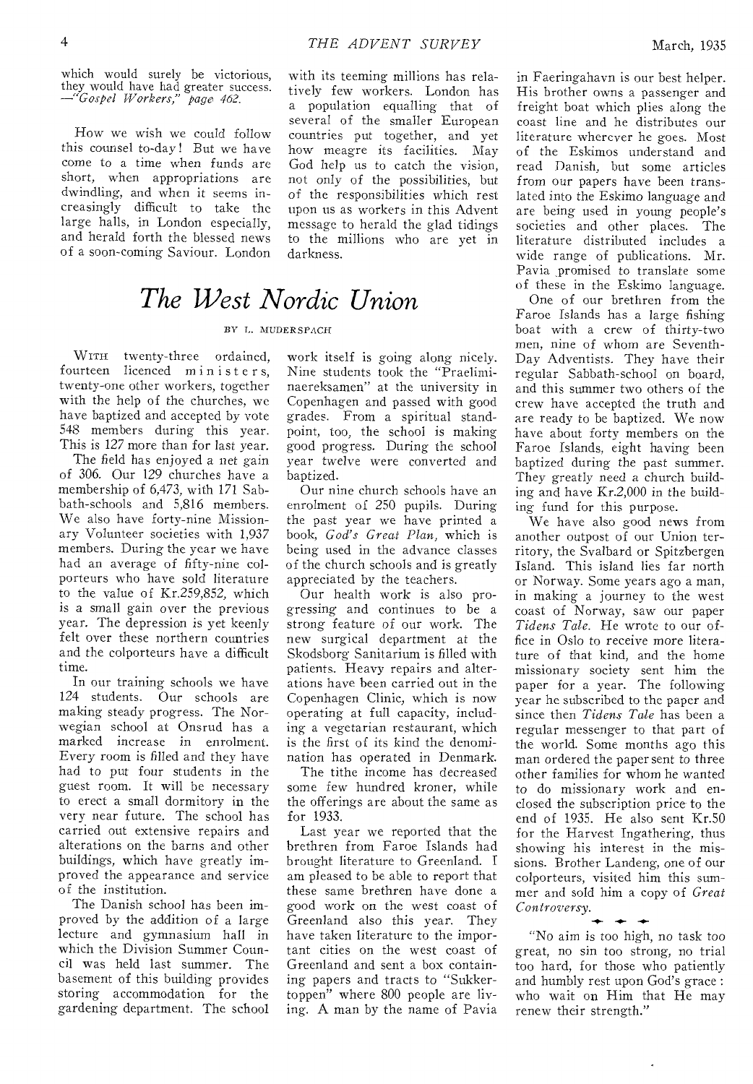which would surely be victorious, they would have had greater success. *—"Gospel Workers," page 462.* 

How we wish we could follow this counsel to-day ! But we have come to a time when funds are short, when appropriations are dwindling, and when it seems increasingly difficult to take the large halls, in London especially, and herald forth the blessed news of a soon-coming Saviour. London

with its teeming millions has relatively few workers. London has a population equalling that of several of the smaller European countries put together, and yet how meagre its facilities. May God help us to catch the vision, not only of the possibilities, but of the responsibilities which rest upon us as workers in this Advent message to herald the glad tidings to the millions who are yet in darkness.

## *The West Nordic Union*

### By T,. MUDERSPACH

WITH twenty-three ordained, fourteen licenced minister s, twenty-one other workers, together with the help of the churches, we have baptized and accepted by vote 548 members during this year. This is 127 more than for last year.

The field has enjoyed a net gain of 306. Our 129 churches have a membership of 6,473, with 171 Sabbath-schools and 5,816 members. We also have forty-nine Missionary Volunteer societies with 1,937 members. During the year we have had an average of fifty-nine colporteurs who have sold literature to the value of Kr.259,852, which *is* a small gain over the previous year. The depression is yet keenly felt over these northern countries and the colporteurs have a difficult time.

In our training schools we have 124 students. Our schools are making steady progress. The Norwegian school at Onsrud has a marked increase in enrolment. Every room is filled and they have had to put four students in the guest room. It will be necessary to erect a small dormitory in the very near future. The school has carried out extensive repairs and alterations on the barns and other buildings, which have greatly improved the appearance and service of the institution.

The Danish school has been improved by the addition of a large lecture and gymnasium hall in which the Division Summer Council was held last summer. The basement of this building provides storing accommodation for the gardening department. The school

work itself is going along nicely. Nine students took the "Praeliminaereksamen" at the university in Copenhagen and passed with good grades. From a spiritual standpoint, too, the school is making good progress. During the school year twelve were converted and baptized.

Our nine church schools have an enrolment of 250 pupils. During the past year we have printed a book, *God's Great Plan,* which is being used in the advance classes of the church schools and is greatly appreciated by the teachers.

Our health work is also progressing and continues to be a strong feature of our work. The new surgical department at the Skodsborg Sanitarium is filled with patients. Heavy repairs and alterations have been carried out in the Copenhagen Clinic, which is now operating at full capacity, including a vegetarian restaurant, which is the first of its kind the denomination has operated in Denmark.

The tithe income has decreased some few hundred kroner, while the offerings are about the same as for 1933.

Last year we reported that the brethren from Faroe Islands had brought literature to Greenland. I am pleased to be able to report that these same brethren have done a good work on the west coast of Greenland also this year. They have taken literature to the important cities on the west coast of Greenland and sent a box containing papers and tracts to "Sukkertoppen" where 800 people are living. A man by the name of Pavia

in Faeringahavn is our best helper. His brother owns a passenger and freight boat which plies along the coast line and he distributes our literature wherever he goes. Most of the Eskimos understand and read Danish, but some articles from our papers have been translated into the Eskimo language and are being used in young people's societies and other places. The literature distributed includes a wide range of publications. Mr. Pavia promised to translate some of these in the Eskimo language.

One of our brethren from the Faroe Islands has a large fishing boat with a crew of thirty-two men, nine of whom are Seventh-Day Adventists. They have their regular Sabbath-school on board, and this summer two others of the crew have accepted the truth and are ready to be baptized. We now have about forty members on the Faroe Islands, eight having been baptized during the past summer. They greatly need a church building and have Kr.2,000 in the building fund for this purpose.

We have also good news from another outpost of our Union territory, the Svalbard or Spitzbergen Island. This island lies far north or Norway. Some years ago a man, in making a journey to the west coast of Norway, saw our paper *Tidens Tale.* He wrote to our office in Oslo to receive more literature of that kind, and the home missionary society sent him the paper for a year. The following year he subscribed to the paper and since then *Tidens Tale* has been a regular messenger to that part of the world. Some months ago this man ordered the paper sent to three other families for whom he wanted to do missionary work and enclosed the subscription price to the end of 1935. He also sent Kr.50 for the Harvest Ingathering, thus showing his interest in the missions. Brother Landeng, one of our colporteurs, visited him this summer and sold him a copy of *Great Controversy.* 

"No aim is too high, no task too great, no sin too strong, no trial too hard, for those who patiently and humbly rest upon God's grace : who wait on Him that He may renew their strength."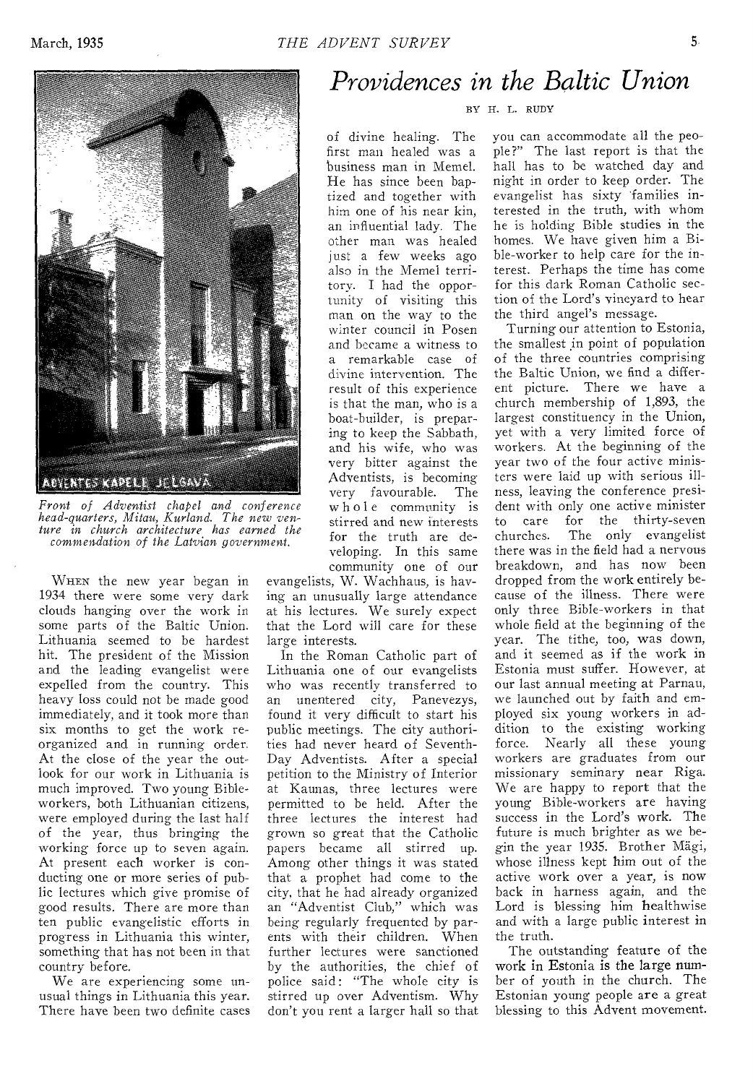



*Front of Adventist chapel and conference head-quarters, Mitau, Kurland. The new venture in church architecture has earned the commendation of the Latvian government.* 

WHEN the new year began in 1934 there were some very dark clouds hanging over the work in some parts of the Baltic Union. Lithuania seemed to be hardest hit. The president of the Mission and the leading evangelist were expelled from the country. This heavy loss could not be made good immediately, and it took more than six months to get the work reorganized and in running order. At the close of the year the outlook for our work in Lithuania is much improved. Two young Bibleworkers, both Lithuanian citizens, were employed during the last half of the year, thus bringing the working force up to seven again. At present each worker is conducting one or more series of public lectures which give promise of good results. There are more than ten public evangelistic efforts in progress in Lithuania this winter, something that has not been in that country before.

We are experiencing some unusual things in Lithuania this year. There have been two definite cases

# *Providences in the Baltic Union*

### BY H. L. RUDY

of divine healing. The first man healed was a business man in Memel. He has since been baptized and together with him one of his near kin, an influential lady. The other man was healed just a few weeks ago also in the Memel territory. I had the opportunity of visiting this man on the way to the winter council in Posen and became a witness to a remarkable case of divine intervention. The result of this experience is that the man, who is a boat-builder, is preparing to keep the Sabbath, and his wife, who was very bitter against the Adventists, is becoming very favourable. The whole community is stirred and new interests for the truth are developing. In this same community one of our

evangelists, W. Wachhaus, is having an unusually large attendance at his lectures. We surely expect that the Lord will care for these large interests.

In the Roman Catholic part of Lithuania one of our evangelists who was recently transferred to an unentered city, Panevezys, found it very difficult to start his public meetings. The city authorities had never heard of Seventh-Day Adventists. After a special petition to the Ministry of Interior at Kaunas, three lectures were permitted to be held. After the three lectures the interest had grown so great that the Catholic papers became all stirred up. Among other things it was stated that a prophet had come to the city, that he had already organized an "Adventist Club," which was being regularly frequented by parents with their children. When further lectures were sanctioned by the authorities, the chief of police said: "The whole city is stirred up over Adventism. Why don't you rent a larger hall so that

you can accommodate all the people?" The last report is that the hall has to be watched day and night in order to keep order. The evangelist has sixty 'families interested in the truth, with whom he is holding Bible studies in the homes. We have given him a Bible-worker to help care for the interest. Perhaps the time has come for this dark Roman Catholic section of the Lord's vineyard to hear the third angel's message.

Turning our attention to Estonia, the smallest in point of population of the three countries comprising the Baltic Union, we find a different picture. There we have a church membership of 1,893, the largest constituency in the Union, yet with a very limited force of workers. At the beginning of the year two of the four active ministers were laid up with serious illness, leaving the conference president with only one active minister to care for the thirty-seven churches. The only evangelist there was in the field had a nervous breakdown, and has now been dropped from the work entirely because of the illness. There were only three Bible-workers in that whole field at the beginning of the year. The tithe, too, was down, and it seemed as if the work in Estonia must suffer. However, at our last annual meeting at Parnau, we launched out by faith and employed six young workers in addition to the existing working force. Nearly all these young workers are graduates from our missionary seminary near Riga. We are happy to report that the young Bible-workers are having success in the Lord's work. The future is much brighter as we begin the year 1935. Brother Mägi, whose illness kept him out of the active work over a year, is now back in harness again, and the Lord is blessing him healthwise and with a large public interest in the truth.

The outstanding feature of the work in Estonia is the large number of youth in the church. The Estonian young people are a great blessing to this Advent movement.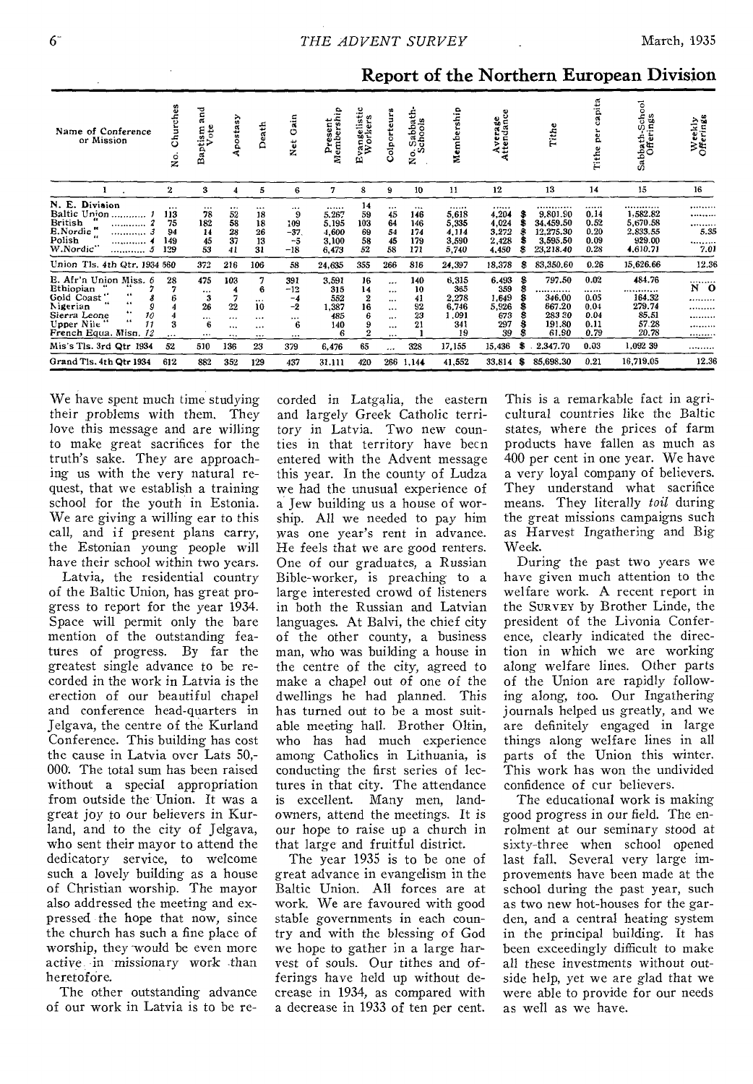| March, | 1935 |
|--------|------|
|--------|------|

| Name of Conference<br>or Mission                                                                                                                                                                                  | Churches<br>g.<br>Z                        | and<br>ote<br>Baptism<br>Vote                  | Apostasy                                          | Death                                                  | ain<br>٥<br>Net                                       | ain<br>Present<br>Membersh                                | stic<br>œ<br>rangelis<br>Worker<br>ω                                | olporte<br>Ö                                                    | ath.<br>Sabba<br>chool<br>$\circ$<br>z   | Membership                                                     | Average<br>Attendance                                        |              | Tithe                                                                   | capita<br>per<br>Tithe                                   | Sabbath-School<br>Offerings                                            | Weekly<br>Offerings                   |
|-------------------------------------------------------------------------------------------------------------------------------------------------------------------------------------------------------------------|--------------------------------------------|------------------------------------------------|---------------------------------------------------|--------------------------------------------------------|-------------------------------------------------------|-----------------------------------------------------------|---------------------------------------------------------------------|-----------------------------------------------------------------|------------------------------------------|----------------------------------------------------------------|--------------------------------------------------------------|--------------|-------------------------------------------------------------------------|----------------------------------------------------------|------------------------------------------------------------------------|---------------------------------------|
|                                                                                                                                                                                                                   | 2                                          | 3                                              | 4                                                 | 5                                                      | 6                                                     | $\mathbf{7}$                                              | 8                                                                   | 9                                                               | 10                                       | 11                                                             | 12                                                           |              | 13                                                                      | 14                                                       | 15                                                                     | 16                                    |
| N. E. Division<br>Baltic Union<br>British<br><br><b>E.Nordic</b><br><br>Polish<br><br>W.Nordic"<br>                                                                                                               | $\ddotsc$<br>113<br>75<br>94<br>149<br>129 | $\cdots$<br>78<br>182<br>14<br>45<br>53        | $\cdots$<br>52<br>58<br>28<br>37<br>41            | $\cdots$<br>18<br>18<br>26<br>13<br>31                 | <br>9<br>109<br>$-37$<br>$-5$<br>$-18$                | <br>5.267<br>5,195<br>4,600<br>3,100<br>6,473             | 14<br>59<br>103<br>69<br>58<br>52                                   | $\cdots$<br>45<br>64<br>54<br>45<br>58                          | <br>146<br>146<br>174<br>179<br>171      | <br>5,618<br>5,335<br>4.114<br>3,590<br>5,740                  | <br>4,204<br>4,024<br>3,272<br>2,428<br>4,450                | я            | .<br>9.801.90<br>34,459.50<br>12,275.30<br>3,595.50<br>23,218.40        | <br>0.14<br>0.52<br>0.20<br>0.09<br>0.28                 | <br>1,582.82<br>5,670.58<br>2,833.55<br>929.00<br>4,610.71             | <br><br><br>5.35<br><br>7.01          |
| Union Tls. 4th Qtr. 1934 560<br>E. Afr'n Union Miss. 6<br>Ethiopian<br>66<br>Gold Coast"<br>44<br>$\overline{14}$<br>Nigerian<br>9<br>٠.<br>10<br>Sierra Leone<br>44<br>11<br>Upper Nile<br>French Equa. Misn. 12 | 28<br>6<br>4<br>4<br>3<br>$\cdots$         | 372<br>475<br><br>3<br>26<br><br>6<br>$\cdots$ | 216<br>103<br>7<br>22<br><br>$\cdots$<br>$\cdots$ | 106<br>6<br>$\cdots$<br>10<br><br>$\cdots$<br>$\cdots$ | 58<br>391<br>-12<br>$-4$<br>$-2$<br>$\cdots$<br>6<br> | 24,635<br>3,591<br>315<br>552<br>1,387<br>485<br>140<br>6 | 355<br>16<br>14<br>$\boldsymbol{2}$<br>16<br>6<br>9<br>$\mathbf{2}$ | 266<br><br>$\cdots$<br><br>$\cdots$<br><br>$\cdots$<br>$\cdots$ | 816<br>140<br>10<br>41<br>92<br>23<br>21 | 24,397<br>6,315<br>365<br>2,278<br>6.746<br>1.091<br>341<br>19 | 18,378<br>6.493<br>359<br>1,649<br>5,926<br>673<br>297<br>39 | s<br>\$<br>8 | 83,350.60<br>797.50<br><br>346.00<br>667.20<br>28330<br>191.80<br>61.90 | 0.26<br>0.02<br><br>0.05<br>0.04<br>0.04<br>0.11<br>0.79 | 15,626.66<br>484.76<br><br>164.32<br>279.74<br>85,51<br>57.28<br>20,78 | 12.36<br><br>N O<br><br><br><br>.<br> |
| Mis's Tls. 3rd Qtr 1934<br>Grand Tis. 4th Qtr 1934                                                                                                                                                                | 52<br>612                                  | 510<br>882                                     | 136<br>352                                        | 23<br>129                                              | 379<br>437                                            | 6,476<br>31.111                                           | 65<br>420                                                           | <br>266                                                         | 328<br>1,144                             | 17,155<br>41,552                                               | 15,436<br>33,814                                             | s<br>s       | 2.347.70<br>85.698.30                                                   | 0.03<br>0.21                                             | 1,092 39<br>16,719,05                                                  | <br>12.36                             |

Report of the Northern European Division

We have spent much time studying their problems with them. They love this message and are willing to make great sacrifices for the truth's sake. They are approaching us with the very natural request, that we establish a training school for the youth in Estonia. We are giving a willing ear to this call, and if present plans carry, the Estonian young people will have their school within two years.

Latvia, the residential country of the Baltic Union, has great progress to report for the year 1934. Space will permit only the bare<br>mention of the outstanding features of progress. By far the greatest single advance to be recorded in the work in Latvia is the erection of our beautiful chapel and conference head-quarters in Jelgava, the centre of the Kurland Conference. This building has cost the cause in Latvia over Lats 50,-000. The total sum has been raised without a special appropriation from outside the Union. It was a great joy to our believers in Kurland, and to the city of Jelgava, who sent their mayor to attend the dedicatory service, to welcome such a lovely building as a house of Christian worship. The mayor also addressed the meeting and expressed the hope that now, since the church has such a fine place of worship, they would be even more active in missionary work than heretofore.

The other outstanding advance of our work in Latvia is to be re-

corded in Latgalia, the eastern and largely Greek Catholic territory in Latvia. Two new counties in that territory have been entered with the Advent message this year. In the county of Ludza we had the unusual experience of a Jew building us a house of worship. All we needed to pay him was one year's rent in advance. He feels that we are good renters. One of our graduates, a Russian Bible-worker, is preaching to a large interested crowd of listeners in both the Russian and Latvian languages. At Balvi, the chief city of the other county, a business man, who was building a house in the centre of the city, agreed to make a chapel out of one of the dwellings he had planned. This has turned out to be a most suitable meeting hall. Brother Oltin, who has had much experience among Catholics in Lithuania, is conducting the first series of lectures in that city. The attendance is excellent. Many men, landowners, attend the meetings. It is our hope to raise up a church in that large and fruitful district.

The year 1935 is to be one of great advance in evangelism in the Baltic Union. All forces are at<br>work. We are favoured with good stable governments in each country and with the blessing of God we hope to gather in a large harvest of souls. Our tithes and offerings have held up without decrease in 1934, as compared with a decrease in 1933 of ten per cent.

This is a remarkable fact in agricultural countries like the Baltic states, where the prices of farm products have fallen as much as 400 per cent in one year. We have a very loyal company of believers. They understand what sacrifice means. They literally toil during the great missions campaigns such as Harvest Ingathering and Big Week.

During the past two years we have given much attention to the welfare work. A recent report in the SURVEY by Brother Linde, the president of the Livonia Conference, clearly indicated the direction in which we are working along welfare lines. Other parts of the Union are rapidly following along, too. Our Ingathering journals helped us greatly, and we are definitely engaged in large things along welfare lines in all parts of the Union this winter. This work has won the undivided confidence of cur believers.

The educational work is making good progress in our field. The enrolment at our seminary stood at sixty-three when school opened last fall. Several very large improvements have been made at the school during the past year, such as two new hot-houses for the garden, and a central heating system in the principal building. It has been exceedingly difficult to make all these investments without outside help, yet we are glad that we were able to provide for our needs as well as we have.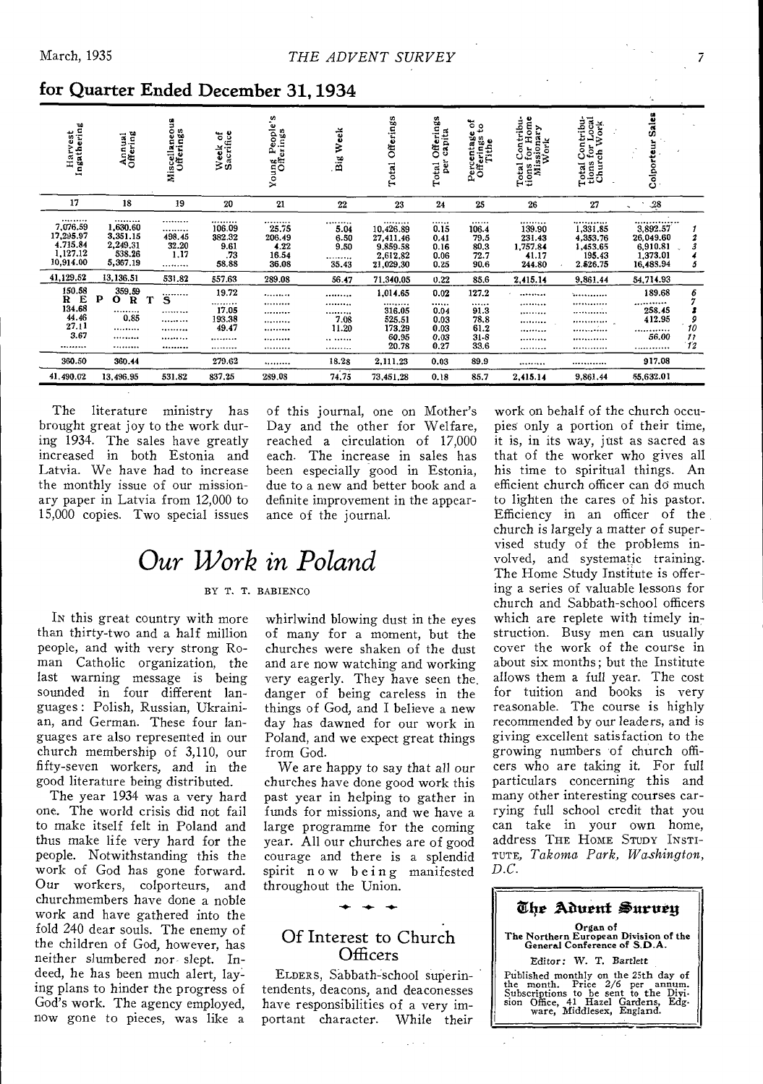| Harvest<br>Ingathering                                         | Annual<br>Offering                                                           | Miscellaneous<br>Offerings          | Week of<br>Sacrifice                          | Young People's<br>Offerings                   | Week<br>$\overline{\mathbf{B}}$        | Offerings<br>Total                                              | Offerings<br>capita<br>ber <sup>1</sup><br>Total | $\frac{64}{10}$<br>Percentage<br>Offerings<br>Tithe   | Total Contribu-<br>tions for Home<br>Missionary<br>Work | Total Contribu-<br>tions for Local<br>Church Work          | Sales<br>Colporteur                                            |                                      |
|----------------------------------------------------------------|------------------------------------------------------------------------------|-------------------------------------|-----------------------------------------------|-----------------------------------------------|----------------------------------------|-----------------------------------------------------------------|--------------------------------------------------|-------------------------------------------------------|---------------------------------------------------------|------------------------------------------------------------|----------------------------------------------------------------|--------------------------------------|
| 17                                                             | 18                                                                           | 19                                  | 20                                            | 21                                            | ${\bf 22}$                             | 23                                                              | 24                                               | 25                                                    | 26                                                      | 27                                                         | $\frac{28}{2}$                                                 |                                      |
| <br>7,076.59<br>17.295.97<br>4.715.84<br>1,127.12<br>10,914.00 | <br>1,630.60<br>3,351.15<br>2,249.31<br>538.26<br>5,367.19                   | <br><br>498.45<br>32.20<br>1.17<br> | <br>106.09<br>382.32<br>9.61<br>.73<br>58.88  | <br>25.75<br>206.49<br>4.22<br>16.54<br>36.08 | <br>5.04<br>6.50<br>9.50<br>.<br>35.43 | <br>10,426.89<br>27.411.46<br>9.859.58<br>2,612.82<br>21,029.30 | <br>0.15<br>0.41<br>0.16<br>0.06<br>0.25         | .<br>106.4<br>79.5<br>80.3<br>72.7<br>90.6            | <br>139.90<br>231.43<br>1,757.84<br>41.17<br>244.80     | <br>1,331,85<br>4,353.76<br>1,453.65<br>195.43<br>2.526.75 | <br>3,892.57<br>26,049.60<br>6.910.81<br>1,373.01<br>16,488.94 | 2<br>3<br>5                          |
| 41,129.52                                                      | 13,136.51                                                                    | 531.82                              | 557.63                                        | 289.08                                        | 56.47                                  | 71.340.05                                                       | 0.22                                             | 85.6                                                  | 2,415.14                                                | 9.861.44                                                   | 54,714.93                                                      |                                      |
| $^{150.58}_{\bf R}$ E<br>134.68<br>44.46<br>27.11<br>3.67<br>  | 359.59<br>$\mathbf{p}$<br>0.<br>$\mathbf R$<br>*********<br>0.85<br><br><br> | <br>s<br><br><br><br><br>*********  | 19.72<br><br>17.05<br>193.38<br>49.47<br><br> | <br><br><br><br><br><br>                      | <br><br><br>7.08<br>11.20<br><br>      | 1,014.65<br><br>316.05<br>525.51<br>173.29<br>60.95<br>20.78    | 0.02<br><br>0.04<br>0.03<br>0.03<br>0.03<br>0.27 | 127.2<br><br>91.3<br>78.8<br>61.2<br>$31 - 8$<br>33.6 | *********<br><br><br><br><br><br>                       | .<br><br><br><br><br><br>                                  | 189.68<br><br>258.45<br>412.95<br><br>56.00<br>                | 6<br>9<br>10<br>$\mathfrak{p}$<br>12 |
| 360.50                                                         | 360.44                                                                       |                                     | 279.62                                        |                                               | 18.28                                  | 2,111.23                                                        | 0.03                                             | 89.9                                                  |                                                         |                                                            | 917.08                                                         |                                      |
| 41.490.02                                                      | 13,496.95                                                                    | 531.82                              | 837.25                                        | 289.08                                        | 74.75                                  | 73,451,28                                                       | 0.18                                             | 85.7                                                  | 2,415.14                                                | 9,861.44                                                   | 55,632.01                                                      |                                      |

### for Quarter Ended December 31, 1934

The literature ministry has brought great joy to the work during 1934. The sales have greatly<br>increased in both Estonia and Latvia. We have had to increase the monthly issue of our missionary paper in Latvia from 12,000 to 15,000 copies. Two special issues

of this journal, one on Mother's Day and the other for Welfare, reached a circulation of 17,000 each. The increase in sales has been especially good in Estonia, due to a new and better book and a definite improvement in the appearance of the journal.

# Our Work in Poland

### BY T. T. BABIENCO

In this great country with more than thirty-two and a half million people, and with very strong Roman Catholic organization, the last warning message is being sounded in four different languages: Polish, Russian, Ukrainian, and German. These four languages are also represented in our church membership of 3,110, our fifty-seven workers, and in the good literature being distributed.

The year 1934 was a very hard one. The world crisis did not fail to make itself felt in Poland and thus make life very hard for the people. Notwithstanding this the work of God has gone forward. Our workers, colporteurs, and churchmembers have done a noble work and have gathered into the fold 240 dear souls. The enemy of the children of God, however, has neither slumbered nor slept. Indeed, he has been much alert, laying plans to hinder the progress of God's work. The agency employed, now gone to pieces, was like a

whirlwind blowing dust in the eyes of many for a moment, but the churches were shaken of the dust and are now watching and working very eagerly. They have seen the danger of being careless in the things of God, and I believe a new day has dawned for our work in Poland, and we expect great things from God.

We are happy to say that all our churches have done good work this past year in helping to gather in funds for missions, and we have a large programme for the coming year. All our churches are of good courage and there is a splendid spirit now being manifested throughout the Union.

### Of Interest to Church Officers

ELDERS, Sabbath-school superintendents, deacons, and deaconesses have responsibilities of a very important character. While their

work on behalf of the church occupies only a portion of their time, it is, in its way, just as sacred as that of the worker who gives all his time to spiritual things. An efficient church officer can do much to lighten the cares of his pastor. Efficiency in an officer of the church is largely a matter of supervised study of the problems involved, and systematic training. The Home Study Institute is offering a series of valuable lessons for church and Sabbath-school officers which are replete with timely instruction. Busy men can usually cover the work of the course in about six months; but the Institute allows them a full year. The cost for tuition and books is very reasonable. The course is highly recommended by our leaders, and is giving excellent satisfaction to the growing numbers of church officers who are taking it. For full particulars concerning this and many other interesting courses carrying full school credit that you can take in your own home,<br>address THE HOME STUDY INSTI-TUTE, Takoma Park, Washington,  $D.C.$